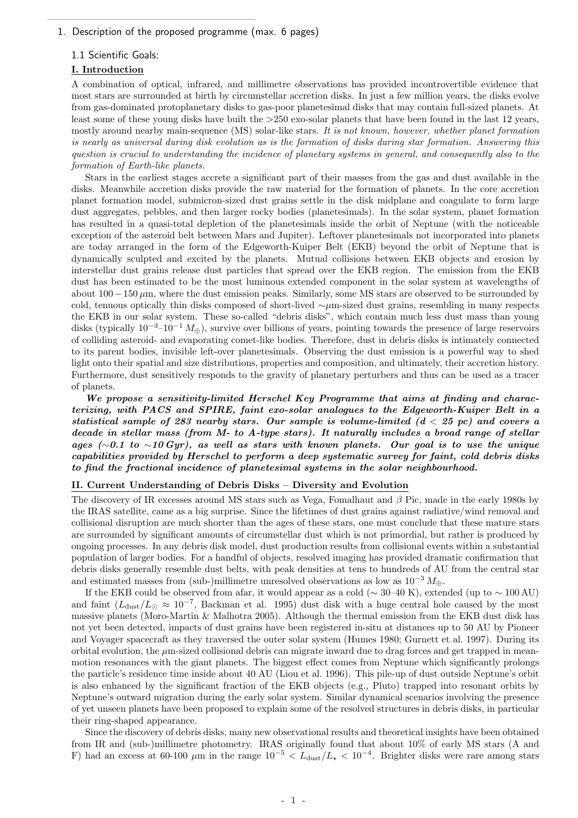### 1. Description of the proposed programme (max. 6 pages)

—————————————————————–

### 1.1 Scientific Goals:

### I. Introduction

A combination of optical, infrared, and millimetre observations has provided incontrovertible evidence that most stars are surrounded at birth by circumstellar accretion disks. In just a few million years, the disks evolve from gas-dominated protoplanetary disks to gas-poor planetesimal disks that may contain full-sized planets. At least some of these young disks have built the >250 exo-solar planets that have been found in the last 12 years, mostly around nearby main-sequence (MS) solar-like stars. It is not known, however, whether planet formation is nearly as universal during disk evolution as is the formation of disks during star formation. Answering this question is crucial to understanding the incidence of planetary systems in general, and consequently also to the formation of Earth-like planets.

Stars in the earliest stages accrete a significant part of their masses from the gas and dust available in the disks. Meanwhile accretion disks provide the raw material for the formation of planets. In the core accretion planet formation model, submicron-sized dust grains settle in the disk midplane and coagulate to form large dust aggregates, pebbles, and then larger rocky bodies (planetesimals). In the solar system, planet formation has resulted in a quasi-total depletion of the planetesimals inside the orbit of Neptune (with the noticeable exception of the asteroid belt between Mars and Jupiter). Leftover planetesimals not incorporated into planets are today arranged in the form of the Edgeworth-Kuiper Belt (EKB) beyond the orbit of Neptune that is dynamically sculpted and excited by the planets. Mutual collisions between EKB objects and erosion by interstellar dust grains release dust particles that spread over the EKB region. The emission from the EKB dust has been estimated to be the most luminous extended component in the solar system at wavelengths of about 100−150 µm, where the dust emission peaks. Similarly, some MS stars are observed to be surrounded by cold, tenuous optically thin disks composed of short-lived ∼µm-sized dust grains, resembling in many respects the EKB in our solar system. These so-called "debris disks", which contain much less dust mass than young disks (typically  $10^{-3}$ – $10^{-1} M_{\oplus}$ ), survive over billions of years, pointing towards the presence of large reservoirs of colliding asteroid- and evaporating comet-like bodies. Therefore, dust in debris disks is intimately connected to its parent bodies, invisible left-over planetesimals. Observing the dust emission is a powerful way to shed light onto their spatial and size distributions, properties and composition, and ultimately, their accretion history. Furthermore, dust sensitively responds to the gravity of planetary perturbers and thus can be used as a tracer of planets.

We propose a sensitivity-limited Herschel Key Programme that aims at finding and characterizing, with PACS and SPIRE, faint exo-solar analogues to the Edgeworth-Kuiper Belt in a statistical sample of 283 nearby stars. Our sample is volume-limited  $(d < 25$  pc) and covers a decade in stellar mass (from M- to A-type stars). It naturally includes a broad range of stellar ages (∼0.1 to ~10 Gyr), as well as stars with known planets. Our goal is to use the unique capabilities provided by Herschel to perform a deep systematic survey for faint, cold debris disks to find the fractional incidence of planetesimal systems in the solar neighbourhood.

### II. Current Understanding of Debris Disks – Diversity and Evolution

The discovery of IR excesses around MS stars such as Vega, Fomalhaut and  $\beta$  Pic, made in the early 1980s by the IRAS satellite, came as a big surprise. Since the lifetimes of dust grains against radiative/wind removal and collisional disruption are much shorter than the ages of these stars, one must conclude that these mature stars are surrounded by significant amounts of circumstellar dust which is not primordial, but rather is produced by ongoing processes. In any debris disk model, dust production results from collisional events within a substantial population of larger bodies. For a handful of objects, resolved imaging has provided dramatic confirmation that debris disks generally resemble dust belts, with peak densities at tens to hundreds of AU from the central star and estimated masses from (sub-)millimetre unresolved observations as low as  $10^{-3} M_{\oplus}$ .

If the EKB could be observed from afar, it would appear as a cold ( $\sim$  30–40 K), extended (up to  $\sim$  100 AU) and faint  $(L_{\text{dust}}/L_{\odot} \approx 10^{-7}$ , Backman et al. 1995) dust disk with a huge central hole caused by the most massive planets (Moro-Martin & Malhotra 2005). Although the thermal emission from the EKB dust disk has not yet been detected, impacts of dust grains have been registered in-situ at distances up to 50 AU by Pioneer and Voyager spacecraft as they traversed the outer solar system (Humes 1980; Gurnett et al. 1997). During its orbital evolution, the  $\mu$ m-sized collisional debris can migrate inward due to drag forces and get trapped in meanmotion resonances with the giant planets. The biggest effect comes from Neptune which significantly prolongs the particle's residence time inside about 40 AU (Liou et al. 1996). This pile-up of dust outside Neptune's orbit is also enhanced by the significant fraction of the EKB objects (e.g., Pluto) trapped into resonant orbits by Neptune's outward migration during the early solar system. Similar dynamical scenarios involving the presence of yet unseen planets have been proposed to explain some of the resolved structures in debris disks, in particular their ring-shaped appearance.

Since the discovery of debris disks, many new observational results and theoretical insights have been obtained from IR and (sub-)millimetre photometry. IRAS originally found that about 10% of early MS stars (A and F) had an excess at 60-100  $\mu$ m in the range  $10^{-5} < L_{\text{dust}}/L_{\star} < 10^{-4}$ . Brighter disks were rare among stars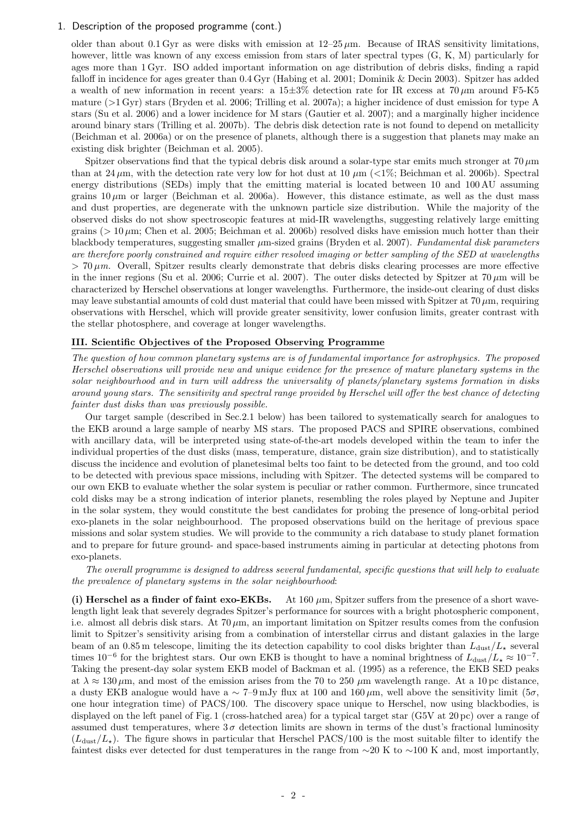older than about 0.1 Gyr as were disks with emission at  $12-25 \mu m$ . Because of IRAS sensitivity limitations, however, little was known of any excess emission from stars of later spectral types (G, K, M) particularly for ages more than 1 Gyr. ISO added important information on age distribution of debris disks, finding a rapid falloff in incidence for ages greater than 0.4 Gyr (Habing et al. 2001; Dominik & Decin 2003). Spitzer has added a wealth of new information in recent years: a  $15\pm3\%$  detection rate for IR excess at  $70 \,\mu m$  around F5-K5 mature  $(>1 \,\mathrm{Gyr})$  stars (Bryden et al. 2006; Trilling et al. 2007a); a higher incidence of dust emission for type A stars (Su et al. 2006) and a lower incidence for M stars (Gautier et al. 2007); and a marginally higher incidence around binary stars (Trilling et al. 2007b). The debris disk detection rate is not found to depend on metallicity (Beichman et al. 2006a) or on the presence of planets, although there is a suggestion that planets may make an existing disk brighter (Beichman et al. 2005).

Spitzer observations find that the typical debris disk around a solar-type star emits much stronger at 70  $\mu$ m than at 24  $\mu$ m, with the detection rate very low for hot dust at 10  $\mu$ m (<1%; Beichman et al. 2006b). Spectral energy distributions (SEDs) imply that the emitting material is located between 10 and 100 AU assuming grains  $10 \mu$ m or larger (Beichman et al. 2006a). However, this distance estimate, as well as the dust mass and dust properties, are degenerate with the unknown particle size distribution. While the majority of the observed disks do not show spectroscopic features at mid-IR wavelengths, suggesting relatively large emitting grains ( $> 10 \mu$ m; Chen et al. 2005; Beichman et al. 2006b) resolved disks have emission much hotter than their blackbody temperatures, suggesting smaller  $\mu$ m-sized grains (Bryden et al. 2007). Fundamental disk parameters are therefore poorly constrained and require either resolved imaging or better sampling of the SED at wavelengths  $> 70 \,\mu m$ . Overall, Spitzer results clearly demonstrate that debris disks clearing processes are more effective in the inner regions (Su et al. 2006; Currie et al. 2007). The outer disks detected by Spitzer at  $70 \,\mu m$  will be characterized by Herschel observations at longer wavelengths. Furthermore, the inside-out clearing of dust disks may leave substantial amounts of cold dust material that could have been missed with Spitzer at  $70 \,\mu m$ , requiring observations with Herschel, which will provide greater sensitivity, lower confusion limits, greater contrast with the stellar photosphere, and coverage at longer wavelengths.

### III. Scientific Objectives of the Proposed Observing Programme

The question of how common planetary systems are is of fundamental importance for astrophysics. The proposed Herschel observations will provide new and unique evidence for the presence of mature planetary systems in the solar neighbourhood and in turn will address the universality of planets/planetary systems formation in disks around young stars. The sensitivity and spectral range provided by Herschel will offer the best chance of detecting fainter dust disks than was previously possible.

Our target sample (described in Sec.2.1 below) has been tailored to systematically search for analogues to the EKB around a large sample of nearby MS stars. The proposed PACS and SPIRE observations, combined with ancillary data, will be interpreted using state-of-the-art models developed within the team to infer the individual properties of the dust disks (mass, temperature, distance, grain size distribution), and to statistically discuss the incidence and evolution of planetesimal belts too faint to be detected from the ground, and too cold to be detected with previous space missions, including with Spitzer. The detected systems will be compared to our own EKB to evaluate whether the solar system is peculiar or rather common. Furthermore, since truncated cold disks may be a strong indication of interior planets, resembling the roles played by Neptune and Jupiter in the solar system, they would constitute the best candidates for probing the presence of long-orbital period exo-planets in the solar neighbourhood. The proposed observations build on the heritage of previous space missions and solar system studies. We will provide to the community a rich database to study planet formation and to prepare for future ground- and space-based instruments aiming in particular at detecting photons from exo-planets.

The overall programme is designed to address several fundamental, specific questions that will help to evaluate the prevalence of planetary systems in the solar neighbourhood:

(i) Herschel as a finder of faint exo-EKBs. At 160  $\mu$ m, Spitzer suffers from the presence of a short wavelength light leak that severely degrades Spitzer's performance for sources with a bright photospheric component, i.e. almost all debris disk stars. At  $70 \mu m$ , an important limitation on Spitzer results comes from the confusion limit to Spitzer's sensitivity arising from a combination of interstellar cirrus and distant galaxies in the large beam of an 0.85 m telescope, limiting the its detection capability to cool disks brighter than  $L_{\text{dust}}/L_{\star}$  several times 10<sup>-6</sup> for the brightest stars. Our own EKB is thought to have a nominal brightness of  $L_{\text{dust}}/L_{\star} \approx 10^{-7}$ . Taking the present-day solar system EKB model of Backman et al. (1995) as a reference, the EKB SED peaks at  $\lambda \approx 130 \,\mu$ m, and most of the emission arises from the 70 to 250  $\mu$ m wavelength range. At a 10 pc distance, a dusty EKB analogue would have a  $\sim 7$ –9 mJy flux at 100 and 160  $\mu$ m, well above the sensitivity limit (5 $\sigma$ , one hour integration time) of PACS/100. The discovery space unique to Herschel, now using blackbodies, is displayed on the left panel of Fig. 1 (cross-hatched area) for a typical target star (G5V at 20 pc) over a range of assumed dust temperatures, where  $3\sigma$  detection limits are shown in terms of the dust's fractional luminosity  $(L<sub>dust</sub>/L<sub>x</sub>)$ . The figure shows in particular that Herschel PACS/100 is the most suitable filter to identify the faintest disks ever detected for dust temperatures in the range from ∼20 K to ∼100 K and, most importantly,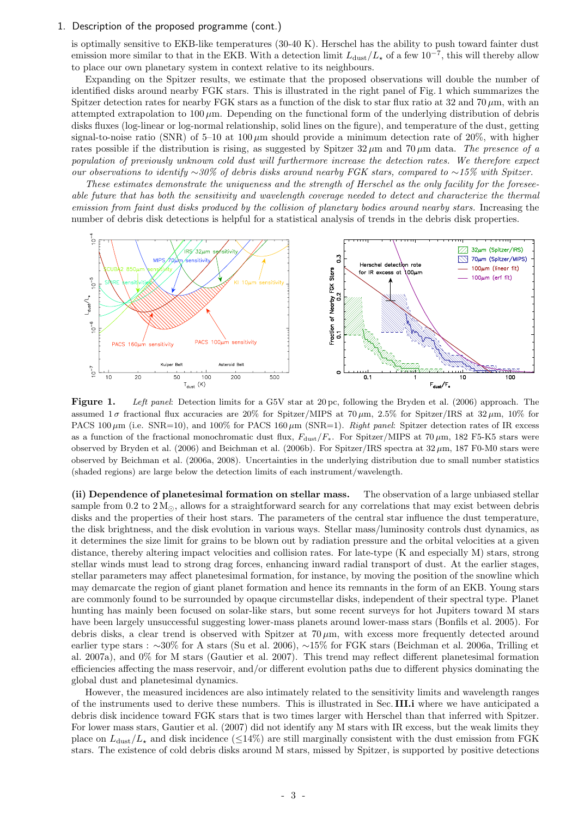is optimally sensitive to EKB-like temperatures (30-40 K). Herschel has the ability to push toward fainter dust emission more similar to that in the EKB. With a detection limit  $L_{\text{dust}}/L_{\star}$  of a few  $10^{-7}$ , this will thereby allow to place our own planetary system in context relative to its neighbours.

Expanding on the Spitzer results, we estimate that the proposed observations will double the number of identified disks around nearby FGK stars. This is illustrated in the right panel of Fig. 1 which summarizes the Spitzer detection rates for nearby FGK stars as a function of the disk to star flux ratio at 32 and 70  $\mu$ m, with an attempted extrapolation to  $100 \mu$ m. Depending on the functional form of the underlying distribution of debris disks fluxes (log-linear or log-normal relationship, solid lines on the figure), and temperature of the dust, getting signal-to-noise ratio (SNR) of 5–10 at 100  $\mu$ m should provide a minimum detection rate of 20%, with higher rates possible if the distribution is rising, as suggested by Spitzer 32  $\mu$ m and 70  $\mu$ m data. The presence of a population of previously unknown cold dust will furthermore increase the detection rates. We therefore expect our observations to identify ∼30% of debris disks around nearby FGK stars, compared to ~15% with Spitzer.

These estimates demonstrate the uniqueness and the strength of Herschel as the only facility for the foreseeable future that has both the sensitivity and wavelength coverage needed to detect and characterize the thermal emission from faint dust disks produced by the collision of planetary bodies around nearby stars. Increasing the number of debris disk detections is helpful for a statistical analysis of trends in the debris disk properties.



Figure 1. Left panel: Detection limits for a G5V star at 20 pc, following the Bryden et al. (2006) approach. The assumed  $1\sigma$  fractional flux accuracies are 20% for Spitzer/MIPS at 70  $\mu$ m, 2.5% for Spitzer/IRS at 32  $\mu$ m, 10% for PACS 100  $\mu$ m (i.e. SNR=10), and 100% for PACS 160  $\mu$ m (SNR=1). Right panel: Spitzer detection rates of IR excess as a function of the fractional monochromatic dust flux,  $F_{\text{dust}}/F_*$ . For Spitzer/MIPS at 70  $\mu$ m, 182 F5-K5 stars were observed by Bryden et al. (2006) and Beichman et al. (2006b). For Spitzer/IRS spectra at  $32 \mu m$ , 187 F0-M0 stars were observed by Beichman et al. (2006a, 2008). Uncertainties in the underlying distribution due to small number statistics (shaded regions) are large below the detection limits of each instrument/wavelength.

(ii) Dependence of planetesimal formation on stellar mass. The observation of a large unbiased stellar sample from 0.2 to  $2 M_{\odot}$ , allows for a straightforward search for any correlations that may exist between debris disks and the properties of their host stars. The parameters of the central star influence the dust temperature, the disk brightness, and the disk evolution in various ways. Stellar mass/luminosity controls dust dynamics, as it determines the size limit for grains to be blown out by radiation pressure and the orbital velocities at a given distance, thereby altering impact velocities and collision rates. For late-type (K and especially M) stars, strong stellar winds must lead to strong drag forces, enhancing inward radial transport of dust. At the earlier stages, stellar parameters may affect planetesimal formation, for instance, by moving the position of the snowline which may demarcate the region of giant planet formation and hence its remnants in the form of an EKB. Young stars are commonly found to be surrounded by opaque circumstellar disks, independent of their spectral type. Planet hunting has mainly been focused on solar-like stars, but some recent surveys for hot Jupiters toward M stars have been largely unsuccessful suggesting lower-mass planets around lower-mass stars (Bonfils et al. 2005). For debris disks, a clear trend is observed with Spitzer at  $70 \mu m$ , with excess more frequently detected around earlier type stars : ∼30% for A stars (Su et al. 2006), ∼15% for FGK stars (Beichman et al. 2006a, Trilling et al. 2007a), and 0% for M stars (Gautier et al. 2007). This trend may reflect different planetesimal formation efficiencies affecting the mass reservoir, and/or different evolution paths due to different physics dominating the global dust and planetesimal dynamics.

However, the measured incidences are also intimately related to the sensitivity limits and wavelength ranges of the instruments used to derive these numbers. This is illustrated in Sec. III.i where we have anticipated a debris disk incidence toward FGK stars that is two times larger with Herschel than that inferred with Spitzer. For lower mass stars, Gautier et al. (2007) did not identify any M stars with IR excess, but the weak limits they place on  $L_{\text{dust}}/L_{\star}$  and disk incidence ( $\leq$ 14%) are still marginally consistent with the dust emission from FGK stars. The existence of cold debris disks around M stars, missed by Spitzer, is supported by positive detections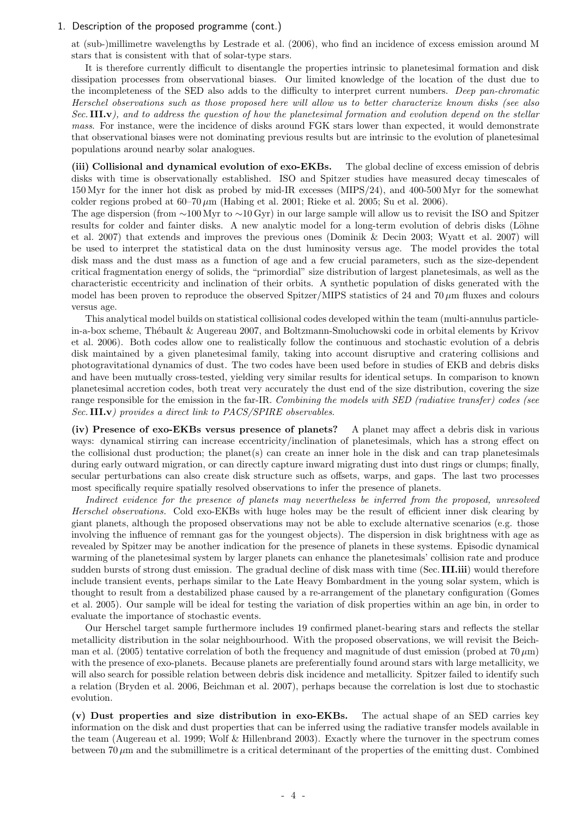at (sub-)millimetre wavelengths by Lestrade et al. (2006), who find an incidence of excess emission around M stars that is consistent with that of solar-type stars.

It is therefore currently difficult to disentangle the properties intrinsic to planetesimal formation and disk dissipation processes from observational biases. Our limited knowledge of the location of the dust due to the incompleteness of the SED also adds to the difficulty to interpret current numbers. Deep pan-chromatic Herschel observations such as those proposed here will allow us to better characterize known disks (see also Sec. III.v), and to address the question of how the planetesimal formation and evolution depend on the stellar mass. For instance, were the incidence of disks around FGK stars lower than expected, it would demonstrate that observational biases were not dominating previous results but are intrinsic to the evolution of planetesimal populations around nearby solar analogues.

(iii) Collisional and dynamical evolution of exo-EKBs. The global decline of excess emission of debris disks with time is observationally established. ISO and Spitzer studies have measured decay timescales of 150 Myr for the inner hot disk as probed by mid-IR excesses (MIPS/24), and 400-500 Myr for the somewhat colder regions probed at  $60-70 \,\mu m$  (Habing et al. 2001; Rieke et al. 2005; Su et al. 2006).

The age dispersion (from ∼100 Myr to ∼10 Gyr) in our large sample will allow us to revisit the ISO and Spitzer results for colder and fainter disks. A new analytic model for a long-term evolution of debris disks (Löhne et al. 2007) that extends and improves the previous ones (Dominik & Decin 2003; Wyatt et al. 2007) will be used to interpret the statistical data on the dust luminosity versus age. The model provides the total disk mass and the dust mass as a function of age and a few crucial parameters, such as the size-dependent critical fragmentation energy of solids, the "primordial" size distribution of largest planetesimals, as well as the characteristic eccentricity and inclination of their orbits. A synthetic population of disks generated with the model has been proven to reproduce the observed Spitzer/MIPS statistics of 24 and 70  $\mu$ m fluxes and colours versus age.

This analytical model builds on statistical collisional codes developed within the team (multi-annulus particlein-a-box scheme, Thébault & Augereau 2007, and Boltzmann-Smoluchowski code in orbital elements by Krivov et al. 2006). Both codes allow one to realistically follow the continuous and stochastic evolution of a debris disk maintained by a given planetesimal family, taking into account disruptive and cratering collisions and photogravitational dynamics of dust. The two codes have been used before in studies of EKB and debris disks and have been mutually cross-tested, yielding very similar results for identical setups. In comparison to known planetesimal accretion codes, both treat very accurately the dust end of the size distribution, covering the size range responsible for the emission in the far-IR. Combining the models with SED (radiative transfer) codes (see Sec. III.v) provides a direct link to PACS/SPIRE observables.

(iv) Presence of exo-EKBs versus presence of planets? A planet may affect a debris disk in various ways: dynamical stirring can increase eccentricity/inclination of planetesimals, which has a strong effect on the collisional dust production; the planet(s) can create an inner hole in the disk and can trap planetesimals during early outward migration, or can directly capture inward migrating dust into dust rings or clumps; finally, secular perturbations can also create disk structure such as offsets, warps, and gaps. The last two processes most specifically require spatially resolved observations to infer the presence of planets.

Indirect evidence for the presence of planets may nevertheless be inferred from the proposed, unresolved Herschel observations. Cold exo-EKBs with huge holes may be the result of efficient inner disk clearing by giant planets, although the proposed observations may not be able to exclude alternative scenarios (e.g. those involving the influence of remnant gas for the youngest objects). The dispersion in disk brightness with age as revealed by Spitzer may be another indication for the presence of planets in these systems. Episodic dynamical warming of the planetesimal system by larger planets can enhance the planetesimals' collision rate and produce sudden bursts of strong dust emission. The gradual decline of disk mass with time (Sec. III.iii) would therefore include transient events, perhaps similar to the Late Heavy Bombardment in the young solar system, which is thought to result from a destabilized phase caused by a re-arrangement of the planetary configuration (Gomes et al. 2005). Our sample will be ideal for testing the variation of disk properties within an age bin, in order to evaluate the importance of stochastic events.

Our Herschel target sample furthermore includes 19 confirmed planet-bearing stars and reflects the stellar metallicity distribution in the solar neighbourhood. With the proposed observations, we will revisit the Beichman et al. (2005) tentative correlation of both the frequency and magnitude of dust emission (probed at 70  $\mu$ m) with the presence of exo-planets. Because planets are preferentially found around stars with large metallicity, we will also search for possible relation between debris disk incidence and metallicity. Spitzer failed to identify such a relation (Bryden et al. 2006, Beichman et al. 2007), perhaps because the correlation is lost due to stochastic evolution.

(v) Dust properties and size distribution in exo-EKBs. The actual shape of an SED carries key information on the disk and dust properties that can be inferred using the radiative transfer models available in the team (Augereau et al. 1999; Wolf & Hillenbrand 2003). Exactly where the turnover in the spectrum comes between  $70 \mu m$  and the submillimetre is a critical determinant of the properties of the emitting dust. Combined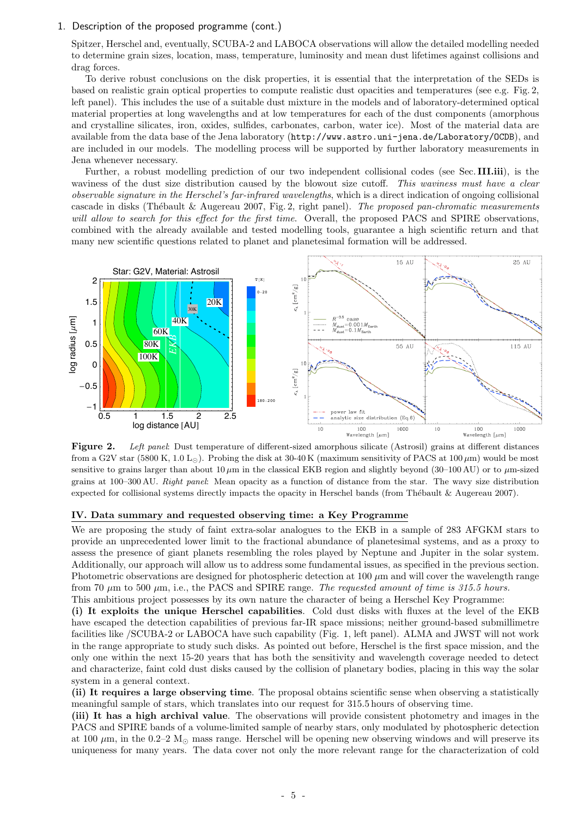Spitzer, Herschel and, eventually, SCUBA-2 and LABOCA observations will allow the detailed modelling needed to determine grain sizes, location, mass, temperature, luminosity and mean dust lifetimes against collisions and drag forces.

To derive robust conclusions on the disk properties, it is essential that the interpretation of the SEDs is based on realistic grain optical properties to compute realistic dust opacities and temperatures (see e.g. Fig. 2, left panel). This includes the use of a suitable dust mixture in the models and of laboratory-determined optical material properties at long wavelengths and at low temperatures for each of the dust components (amorphous and crystalline silicates, iron, oxides, sulfides, carbonates, carbon, water ice). Most of the material data are available from the data base of the Jena laboratory (http://www.astro.uni-jena.de/Laboratory/OCDB), and are included in our models. The modelling process will be supported by further laboratory measurements in Jena whenever necessary.

Further, a robust modelling prediction of our two independent collisional codes (see Sec. III.iii), is the waviness of the dust size distribution caused by the blowout size cutoff. This waviness must have a clear observable signature in the Herschel's far-infrared wavelengths, which is a direct indication of ongoing collisional cascade in disks (Thébault & Augereau 2007, Fig. 2, right panel). The proposed pan-chromatic measurements will allow to search for this effect for the first time. Overall, the proposed PACS and SPIRE observations, combined with the already available and tested modelling tools, guarantee a high scientific return and that many new scientific questions related to planet and planetesimal formation will be addressed.



Figure 2. Left panel: Dust temperature of different-sized amorphous silicate (Astrosil) grains at different distances from a G2V star (5800 K, 1.0 L<sub>O</sub>). Probing the disk at 30-40 K (maximum sensitivity of PACS at 100  $\mu$ m) would be most sensitive to grains larger than about 10  $\mu$ m in the classical EKB region and slightly beyond (30–100 AU) or to  $\mu$ m-sized grains at 100–300 AU. Right panel: Mean opacity as a function of distance from the star. The wavy size distribution expected for collisional systems directly impacts the opacity in Herschel bands (from Thébault & Augereau 2007).

### IV. Data summary and requested observing time: a Key Programme

We are proposing the study of faint extra-solar analogues to the EKB in a sample of 283 AFGKM stars to provide an unprecedented lower limit to the fractional abundance of planetesimal systems, and as a proxy to assess the presence of giant planets resembling the roles played by Neptune and Jupiter in the solar system. Additionally, our approach will allow us to address some fundamental issues, as specified in the previous section. Photometric observations are designed for photospheric detection at  $100 \mu m$  and will cover the wavelength range from 70  $\mu$ m to 500  $\mu$ m, i.e., the PACS and SPIRE range. The requested amount of time is 315.5 hours. This ambitious project possesses by its own nature the character of being a Herschel Key Programme:

(i) It exploits the unique Herschel capabilities. Cold dust disks with fluxes at the level of the EKB have escaped the detection capabilities of previous far-IR space missions; neither ground-based submillimetre facilities like /SCUBA-2 or LABOCA have such capability (Fig. 1, left panel). ALMA and JWST will not work in the range appropriate to study such disks. As pointed out before, Herschel is the first space mission, and the only one within the next 15-20 years that has both the sensitivity and wavelength coverage needed to detect and characterize, faint cold dust disks caused by the collision of planetary bodies, placing in this way the solar system in a general context.

(ii) It requires a large observing time. The proposal obtains scientific sense when observing a statistically meaningful sample of stars, which translates into our request for 315.5 hours of observing time.

(iii) It has a high archival value. The observations will provide consistent photometry and images in the PACS and SPIRE bands of a volume-limited sample of nearby stars, only modulated by photospheric detection at 100  $\mu$ m, in the 0.2–2 M<sub> $\odot$ </sub> mass range. Herschel will be opening new observing windows and will preserve its uniqueness for many years. The data cover not only the more relevant range for the characterization of cold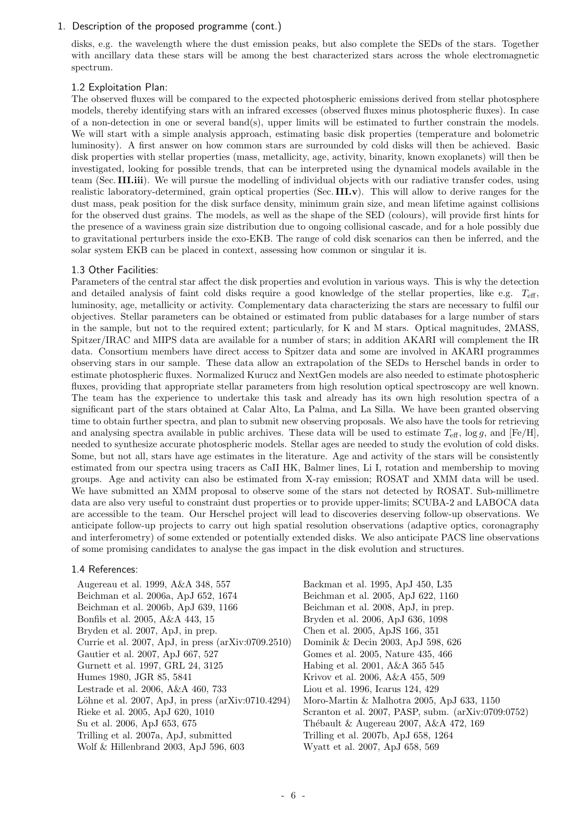disks, e.g. the wavelength where the dust emission peaks, but also complete the SEDs of the stars. Together with ancillary data these stars will be among the best characterized stars across the whole electromagnetic spectrum.

## 1.2 Exploitation Plan:

The observed fluxes will be compared to the expected photospheric emissions derived from stellar photosphere models, thereby identifying stars with an infrared excesses (observed fluxes minus photospheric fluxes). In case of a non-detection in one or several band(s), upper limits will be estimated to further constrain the models. We will start with a simple analysis approach, estimating basic disk properties (temperature and bolometric luminosity). A first answer on how common stars are surrounded by cold disks will then be achieved. Basic disk properties with stellar properties (mass, metallicity, age, activity, binarity, known exoplanets) will then be investigated, looking for possible trends, that can be interpreted using the dynamical models available in the team (Sec. III.iii). We will pursue the modelling of individual objects with our radiative transfer codes, using realistic laboratory-determined, grain optical properties (Sec. III.v). This will allow to derive ranges for the dust mass, peak position for the disk surface density, minimum grain size, and mean lifetime against collisions for the observed dust grains. The models, as well as the shape of the SED (colours), will provide first hints for the presence of a waviness grain size distribution due to ongoing collisional cascade, and for a hole possibly due to gravitational perturbers inside the exo-EKB. The range of cold disk scenarios can then be inferred, and the solar system EKB can be placed in context, assessing how common or singular it is.

### 1.3 Other Facilities:

Parameters of the central star affect the disk properties and evolution in various ways. This is why the detection and detailed analysis of faint cold disks require a good knowledge of the stellar properties, like e.g.  $T_{\text{eff}}$ , luminosity, age, metallicity or activity. Complementary data characterizing the stars are necessary to fulfil our objectives. Stellar parameters can be obtained or estimated from public databases for a large number of stars in the sample, but not to the required extent; particularly, for K and M stars. Optical magnitudes, 2MASS, Spitzer/IRAC and MIPS data are available for a number of stars; in addition AKARI will complement the IR data. Consortium members have direct access to Spitzer data and some are involved in AKARI programmes observing stars in our sample. These data allow an extrapolation of the SEDs to Herschel bands in order to estimate photospheric fluxes. Normalized Kurucz and NextGen models are also needed to estimate photospheric fluxes, providing that appropriate stellar parameters from high resolution optical spectroscopy are well known. The team has the experience to undertake this task and already has its own high resolution spectra of a significant part of the stars obtained at Calar Alto, La Palma, and La Silla. We have been granted observing time to obtain further spectra, and plan to submit new observing proposals. We also have the tools for retrieving and analysing spectra available in public archives. These data will be used to estimate  $T_{\text{eff}}$ , log g, and [Fe/H], needed to synthesize accurate photospheric models. Stellar ages are needed to study the evolution of cold disks. Some, but not all, stars have age estimates in the literature. Age and activity of the stars will be consistently estimated from our spectra using tracers as CaII HK, Balmer lines, Li I, rotation and membership to moving groups. Age and activity can also be estimated from X-ray emission; ROSAT and XMM data will be used. We have submitted an XMM proposal to observe some of the stars not detected by ROSAT. Sub-millimetre data are also very useful to constraint dust properties or to provide upper-limits; SCUBA-2 and LABOCA data are accessible to the team. Our Herschel project will lead to discoveries deserving follow-up observations. We anticipate follow-up projects to carry out high spatial resolution observations (adaptive optics, coronagraphy and interferometry) of some extended or potentially extended disks. We also anticipate PACS line observations of some promising candidates to analyse the gas impact in the disk evolution and structures.

### 1.4 References:

| Augereau et al. 1999, A&A 348, 557                           | Backman et al. 1995, ApJ 450, L35                   |
|--------------------------------------------------------------|-----------------------------------------------------|
| Beichman et al. 2006a, ApJ 652, 1674                         | Beichman et al. 2005, ApJ 622, 1160                 |
| Beichman et al. 2006b, ApJ 639, 1166                         | Beichman et al. 2008, ApJ, in prep.                 |
| Bonfils et al. 2005, A&A 443, 15                             | Bryden et al. 2006, ApJ 636, 1098                   |
| Bryden et al. 2007, ApJ, in prep.                            | Chen et al. 2005, ApJS 166, 351                     |
| Currie et al. 2007, ApJ, in press $(\text{arXiv:0709.2510})$ | Dominik & Decin 2003, ApJ 598, 626                  |
| Gautier et al. 2007, ApJ 667, 527                            | Gomes et al. 2005, Nature 435, 466                  |
| Gurnett et al. 1997, GRL 24, 3125                            | Habing et al. 2001, A&A 365 545                     |
| Humes 1980, JGR 85, 5841                                     | Krivov et al. 2006, A&A 455, 509                    |
| Lestrade et al. 2006, A&A 460, 733                           | Liou et al. 1996, Icarus 124, 429                   |
| Löhne et al. 2007, ApJ, in press $(\text{arXiv:0710.4294})$  | Moro-Martin & Malhotra 2005, ApJ 633, 1150          |
| Rieke et al. 2005, ApJ 620, 1010                             | Scranton et al. 2007, PASP, subm. (arXiv:0709:0752) |
| Su et al. 2006, ApJ 653, 675                                 | Thébault & Augereau 2007, A&A 472, 169              |
| Trilling et al. 2007a, ApJ, submitted                        | Trilling et al. 2007b, ApJ 658, 1264                |
| Wolf & Hillenbrand 2003, ApJ 596, 603                        | Wyatt et al. 2007, ApJ 658, 569                     |
|                                                              |                                                     |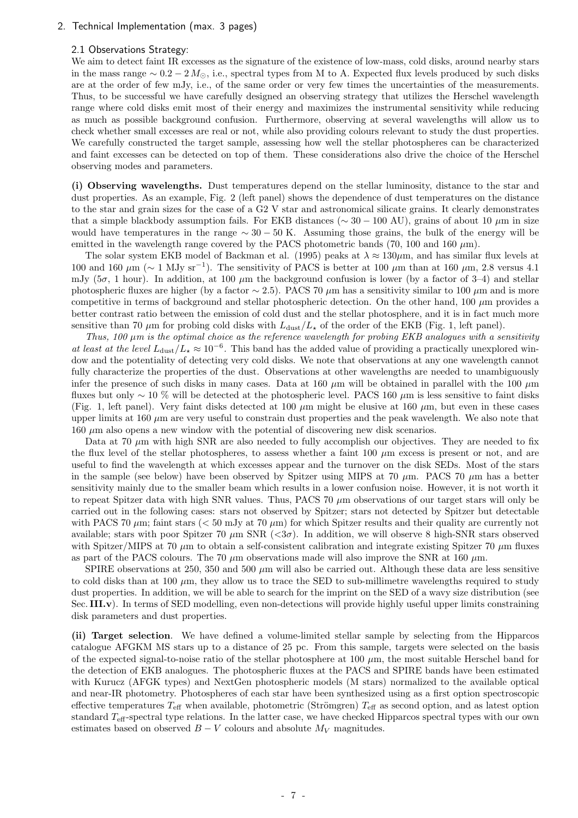### 2. Technical Implementation (max. 3 pages)

### 2.1 Observations Strategy:

We aim to detect faint IR excesses as the signature of the existence of low-mass, cold disks, around nearby stars in the mass range  $\sim 0.2 - 2 M_{\odot}$ , i.e., spectral types from M to A. Expected flux levels produced by such disks are at the order of few mJy, i.e., of the same order or very few times the uncertainties of the measurements. Thus, to be successful we have carefully designed an observing strategy that utilizes the Herschel wavelength range where cold disks emit most of their energy and maximizes the instrumental sensitivity while reducing as much as possible background confusion. Furthermore, observing at several wavelengths will allow us to check whether small excesses are real or not, while also providing colours relevant to study the dust properties. We carefully constructed the target sample, assessing how well the stellar photospheres can be characterized and faint excesses can be detected on top of them. These considerations also drive the choice of the Herschel observing modes and parameters.

(i) Observing wavelengths. Dust temperatures depend on the stellar luminosity, distance to the star and dust properties. As an example, Fig. 2 (left panel) shows the dependence of dust temperatures on the distance to the star and grain sizes for the case of a G2 V star and astronomical silicate grains. It clearly demonstrates that a simple blackbody assumption fails. For EKB distances ( $\sim 30 - 100$  AU), grains of about 10  $\mu$ m in size would have temperatures in the range  $\sim 30 - 50$  K. Assuming those grains, the bulk of the energy will be emitted in the wavelength range covered by the PACS photometric bands (70, 100 and 160  $\mu$ m).

The solar system EKB model of Backman et al. (1995) peaks at  $\lambda \approx 130 \mu$ m, and has similar flux levels at 100 and 160 μm ( $\sim$  1 MJy sr<sup>-1</sup>). The sensitivity of PACS is better at 100 μm than at 160 μm, 2.8 versus 4.1 mJy ( $5\sigma$ , 1 hour). In addition, at 100  $\mu$ m the background confusion is lower (by a factor of 3–4) and stellar photospheric fluxes are higher (by a factor  $\sim$  2.5). PACS 70  $\mu$ m has a sensitivity similar to 100  $\mu$ m and is more competitive in terms of background and stellar photospheric detection. On the other hand, 100  $\mu$ m provides a better contrast ratio between the emission of cold dust and the stellar photosphere, and it is in fact much more sensitive than 70  $\mu$ m for probing cold disks with  $L_{\text{dust}}/L_{\star}$  of the order of the EKB (Fig. 1, left panel).

Thus, 100  $\mu$ m is the optimal choice as the reference wavelength for probing EKB analogues with a sensitivity at least at the level  $L_{\text{dust}}/L_{\star} \approx 10^{-6}$ . This band has the added value of providing a practically unexplored window and the potentiality of detecting very cold disks. We note that observations at any one wavelength cannot fully characterize the properties of the dust. Observations at other wavelengths are needed to unambiguously infer the presence of such disks in many cases. Data at 160  $\mu$ m will be obtained in parallel with the 100  $\mu$ m fluxes but only ~ 10 % will be detected at the photospheric level. PACS 160  $\mu$ m is less sensitive to faint disks (Fig. 1, left panel). Very faint disks detected at 100  $\mu$ m might be elusive at 160  $\mu$ m, but even in these cases upper limits at 160  $\mu$ m are very useful to constrain dust properties and the peak wavelength. We also note that  $160 \mu m$  also opens a new window with the potential of discovering new disk scenarios.

Data at 70  $\mu$ m with high SNR are also needed to fully accomplish our objectives. They are needed to fix the flux level of the stellar photospheres, to assess whether a faint  $100 \mu m$  excess is present or not, and are useful to find the wavelength at which excesses appear and the turnover on the disk SEDs. Most of the stars in the sample (see below) have been observed by Spitzer using MIPS at 70  $\mu$ m. PACS 70  $\mu$ m has a better sensitivity mainly due to the smaller beam which results in a lower confusion noise. However, it is not worth it to repeat Spitzer data with high SNR values. Thus, PACS 70  $\mu$ m observations of our target stars will only be carried out in the following cases: stars not observed by Spitzer; stars not detected by Spitzer but detectable with PACS 70  $\mu$ m; faint stars ( $<$  50 mJy at 70  $\mu$ m) for which Spitzer results and their quality are currently not available; stars with poor Spitzer 70  $\mu$ m SNR ( $\langle 3\sigma \rangle$ ). In addition, we will observe 8 high-SNR stars observed with Spitzer/MIPS at 70  $\mu$ m to obtain a self-consistent calibration and integrate existing Spitzer 70  $\mu$ m fluxes as part of the PACS colours. The 70  $\mu$ m observations made will also improve the SNR at 160  $\mu$ m.

SPIRE observations at 250, 350 and 500  $\mu$ m will also be carried out. Although these data are less sensitive to cold disks than at 100  $\mu$ m, they allow us to trace the SED to sub-millimetre wavelengths required to study dust properties. In addition, we will be able to search for the imprint on the SED of a wavy size distribution (see Sec. III.v). In terms of SED modelling, even non-detections will provide highly useful upper limits constraining disk parameters and dust properties.

(ii) Target selection. We have defined a volume-limited stellar sample by selecting from the Hipparcos catalogue AFGKM MS stars up to a distance of 25 pc. From this sample, targets were selected on the basis of the expected signal-to-noise ratio of the stellar photosphere at 100  $\mu$ m, the most suitable Herschel band for the detection of EKB analogues. The photospheric fluxes at the PACS and SPIRE bands have been estimated with Kurucz (AFGK types) and NextGen photospheric models (M stars) normalized to the available optical and near-IR photometry. Photospheres of each star have been synthesized using as a first option spectroscopic effective temperatures  $T_{\text{eff}}$  when available, photometric (Strömgren)  $T_{\text{eff}}$  as second option, and as latest option standard  $T_{\text{eff}}$ -spectral type relations. In the latter case, we have checked Hipparcos spectral types with our own estimates based on observed  $B - V$  colours and absolute  $M_V$  magnitudes.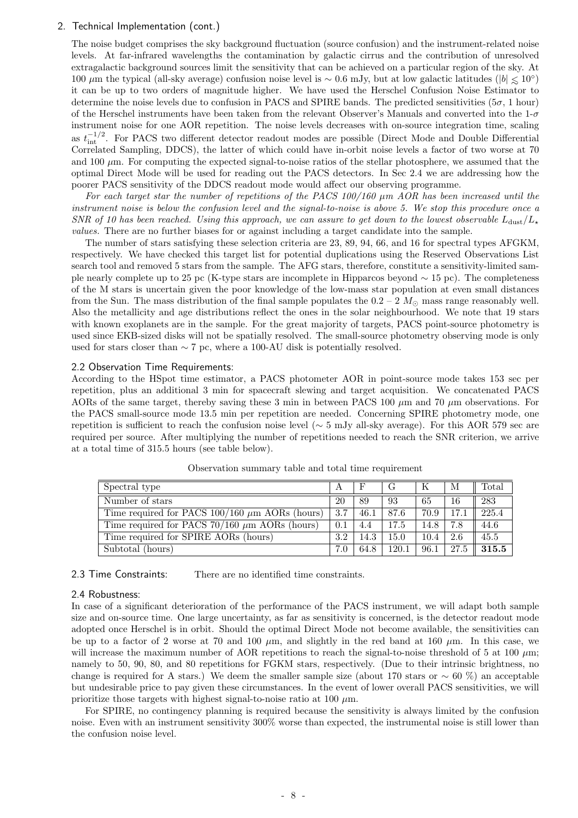### 2. Technical Implementation (cont.)

The noise budget comprises the sky background fluctuation (source confusion) and the instrument-related noise levels. At far-infrared wavelengths the contamination by galactic cirrus and the contribution of unresolved extragalactic background sources limit the sensitivity that can be achieved on a particular region of the sky. At 100 μm the typical (all-sky average) confusion noise level is ~ 0.6 mJy, but at low galactic latitudes ( $|b| \le 10°$ ) it can be up to two orders of magnitude higher. We have used the Herschel Confusion Noise Estimator to determine the noise levels due to confusion in PACS and SPIRE bands. The predicted sensitivities ( $5\sigma$ , 1 hour) of the Herschel instruments have been taken from the relevant Observer's Manuals and converted into the  $1-\sigma$ instrument noise for one AOR repetition. The noise levels decreases with on-source integration time, scaling as  $t_{\text{int}}^{-1/2}$ . For PACS two different detector readout modes are possible (Direct Mode and Double Differential Correlated Sampling, DDCS), the latter of which could have in-orbit noise levels a factor of two worse at 70 and 100  $\mu$ m. For computing the expected signal-to-noise ratios of the stellar photosphere, we assumed that the optimal Direct Mode will be used for reading out the PACS detectors. In Sec 2.4 we are addressing how the poorer PACS sensitivity of the DDCS readout mode would affect our observing programme.

For each target star the number of repetitions of the PACS  $100/160 \mu m$  AOR has been increased until the instrument noise is below the confusion level and the signal-to-noise is above 5. We stop this procedure once a SNR of 10 has been reached. Using this approach, we can assure to get down to the lowest observable  $L_{\text{dust}}/L_{\star}$ values. There are no further biases for or against including a target candidate into the sample.

The number of stars satisfying these selection criteria are 23, 89, 94, 66, and 16 for spectral types AFGKM, respectively. We have checked this target list for potential duplications using the Reserved Observations List search tool and removed 5 stars from the sample. The AFG stars, therefore, constitute a sensitivity-limited sample nearly complete up to 25 pc (K-type stars are incomplete in Hipparcos beyond ∼ 15 pc). The completeness of the M stars is uncertain given the poor knowledge of the low-mass star population at even small distances from the Sun. The mass distribution of the final sample populates the  $0.2 - 2$   $M_{\odot}$  mass range reasonably well. Also the metallicity and age distributions reflect the ones in the solar neighbourhood. We note that 19 stars with known exoplanets are in the sample. For the great majority of targets, PACS point-source photometry is used since EKB-sized disks will not be spatially resolved. The small-source photometry observing mode is only used for stars closer than  $\sim$  7 pc, where a 100-AU disk is potentially resolved.

### 2.2 Observation Time Requirements:

According to the HSpot time estimator, a PACS photometer AOR in point-source mode takes 153 sec per repetition, plus an additional 3 min for spacecraft slewing and target acquisition. We concatenated PACS AORs of the same target, thereby saving these 3 min in between PACS 100  $\mu$ m and 70  $\mu$ m observations. For the PACS small-source mode 13.5 min per repetition are needed. Concerning SPIRE photometry mode, one repetition is sufficient to reach the confusion noise level ( $\sim$  5 mJy all-sky average). For this AOR 579 sec are required per source. After multiplying the number of repetitions needed to reach the SNR criterion, we arrive at a total time of 315.5 hours (see table below).

| Spectral type                                       | $\mathbf A$ | F    | $\mathbf{G}$ |      | M    | $\text{Total}$ |
|-----------------------------------------------------|-------------|------|--------------|------|------|----------------|
| Number of stars                                     | 20          | 89   | 93           | 65   | 16   | 283            |
| Time required for PACS $100/160 \mu m$ AORs (hours) | 3.7         | 46.1 | 87.6         | 70.9 | 17.1 | 225.4          |
| Time required for PACS $70/160 \mu m$ AORs (hours)  | 0.1         | 4.4  | 17.5         | 14.8 | 7.8  | 44.6           |
| Time required for SPIRE AORs (hours)                | 3.2         | 14.3 | 15.0         | 10.4 | 2.6  | 45.5           |
| Subtotal (hours)                                    | 7.0         | 64.8 | 120.1        | 96.1 | 27.5 | 315.5          |

Observation summary table and total time requirement

2.3 Time Constraints: There are no identified time constraints.

### 2.4 Robustness:

In case of a significant deterioration of the performance of the PACS instrument, we will adapt both sample size and on-source time. One large uncertainty, as far as sensitivity is concerned, is the detector readout mode adopted once Herschel is in orbit. Should the optimal Direct Mode not become available, the sensitivities can be up to a factor of 2 worse at 70 and 100  $\mu$ m, and slightly in the red band at 160  $\mu$ m. In this case, we will increase the maximum number of AOR repetitions to reach the signal-to-noise threshold of 5 at 100  $\mu$ m; namely to 50, 90, 80, and 80 repetitions for FGKM stars, respectively. (Due to their intrinsic brightness, no change is required for A stars.) We deem the smaller sample size (about 170 stars or  $\sim 60\%$ ) an acceptable but undesirable price to pay given these circumstances. In the event of lower overall PACS sensitivities, we will prioritize those targets with highest signal-to-noise ratio at 100  $\mu$ m.

For SPIRE, no contingency planning is required because the sensitivity is always limited by the confusion noise. Even with an instrument sensitivity 300% worse than expected, the instrumental noise is still lower than the confusion noise level.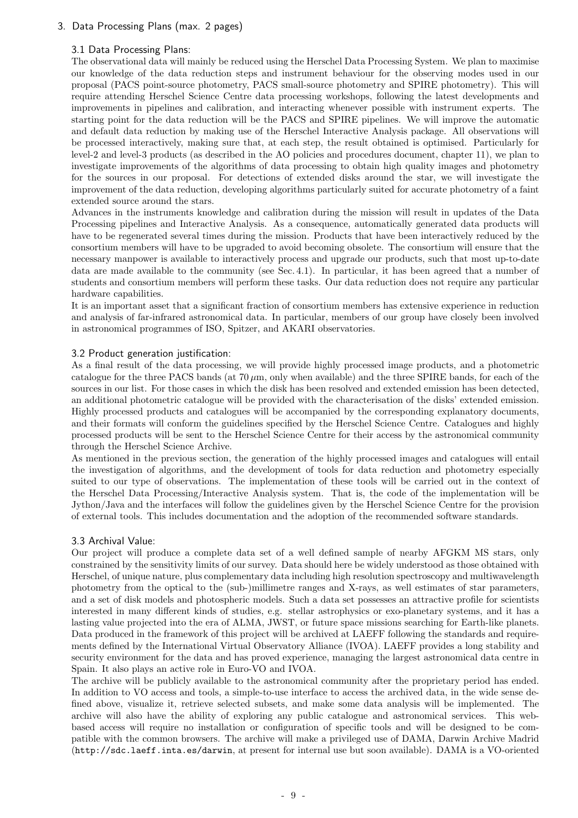## 3. Data Processing Plans (max. 2 pages)

## 3.1 Data Processing Plans:

The observational data will mainly be reduced using the Herschel Data Processing System. We plan to maximise our knowledge of the data reduction steps and instrument behaviour for the observing modes used in our proposal (PACS point-source photometry, PACS small-source photometry and SPIRE photometry). This will require attending Herschel Science Centre data processing workshops, following the latest developments and improvements in pipelines and calibration, and interacting whenever possible with instrument experts. The starting point for the data reduction will be the PACS and SPIRE pipelines. We will improve the automatic and default data reduction by making use of the Herschel Interactive Analysis package. All observations will be processed interactively, making sure that, at each step, the result obtained is optimised. Particularly for level-2 and level-3 products (as described in the AO policies and procedures document, chapter 11), we plan to investigate improvements of the algorithms of data processing to obtain high quality images and photometry for the sources in our proposal. For detections of extended disks around the star, we will investigate the improvement of the data reduction, developing algorithms particularly suited for accurate photometry of a faint extended source around the stars.

Advances in the instruments knowledge and calibration during the mission will result in updates of the Data Processing pipelines and Interactive Analysis. As a consequence, automatically generated data products will have to be regenerated several times during the mission. Products that have been interactively reduced by the consortium members will have to be upgraded to avoid becoming obsolete. The consortium will ensure that the necessary manpower is available to interactively process and upgrade our products, such that most up-to-date data are made available to the community (see Sec. 4.1). In particular, it has been agreed that a number of students and consortium members will perform these tasks. Our data reduction does not require any particular hardware capabilities.

It is an important asset that a significant fraction of consortium members has extensive experience in reduction and analysis of far-infrared astronomical data. In particular, members of our group have closely been involved in astronomical programmes of ISO, Spitzer, and AKARI observatories.

## 3.2 Product generation justification:

As a final result of the data processing, we will provide highly processed image products, and a photometric catalogue for the three PACS bands (at  $70 \mu m$ , only when available) and the three SPIRE bands, for each of the sources in our list. For those cases in which the disk has been resolved and extended emission has been detected, an additional photometric catalogue will be provided with the characterisation of the disks' extended emission. Highly processed products and catalogues will be accompanied by the corresponding explanatory documents, and their formats will conform the guidelines specified by the Herschel Science Centre. Catalogues and highly processed products will be sent to the Herschel Science Centre for their access by the astronomical community through the Herschel Science Archive.

As mentioned in the previous section, the generation of the highly processed images and catalogues will entail the investigation of algorithms, and the development of tools for data reduction and photometry especially suited to our type of observations. The implementation of these tools will be carried out in the context of the Herschel Data Processing/Interactive Analysis system. That is, the code of the implementation will be Jython/Java and the interfaces will follow the guidelines given by the Herschel Science Centre for the provision of external tools. This includes documentation and the adoption of the recommended software standards.

## 3.3 Archival Value:

Our project will produce a complete data set of a well defined sample of nearby AFGKM MS stars, only constrained by the sensitivity limits of our survey. Data should here be widely understood as those obtained with Herschel, of unique nature, plus complementary data including high resolution spectroscopy and multiwavelength photometry from the optical to the (sub-)millimetre ranges and X-rays, as well estimates of star parameters, and a set of disk models and photospheric models. Such a data set possesses an attractive profile for scientists interested in many different kinds of studies, e.g. stellar astrophysics or exo-planetary systems, and it has a lasting value projected into the era of ALMA, JWST, or future space missions searching for Earth-like planets. Data produced in the framework of this project will be archived at LAEFF following the standards and requirements defined by the International Virtual Observatory Alliance (IVOA). LAEFF provides a long stability and security environment for the data and has proved experience, managing the largest astronomical data centre in Spain. It also plays an active role in Euro-VO and IVOA.

The archive will be publicly available to the astronomical community after the proprietary period has ended. In addition to VO access and tools, a simple-to-use interface to access the archived data, in the wide sense defined above, visualize it, retrieve selected subsets, and make some data analysis will be implemented. The archive will also have the ability of exploring any public catalogue and astronomical services. This webbased access will require no installation or configuration of specific tools and will be designed to be compatible with the common browsers. The archive will make a privileged use of DAMA, Darwin Archive Madrid (http://sdc.laeff.inta.es/darwin, at present for internal use but soon available). DAMA is a VO-oriented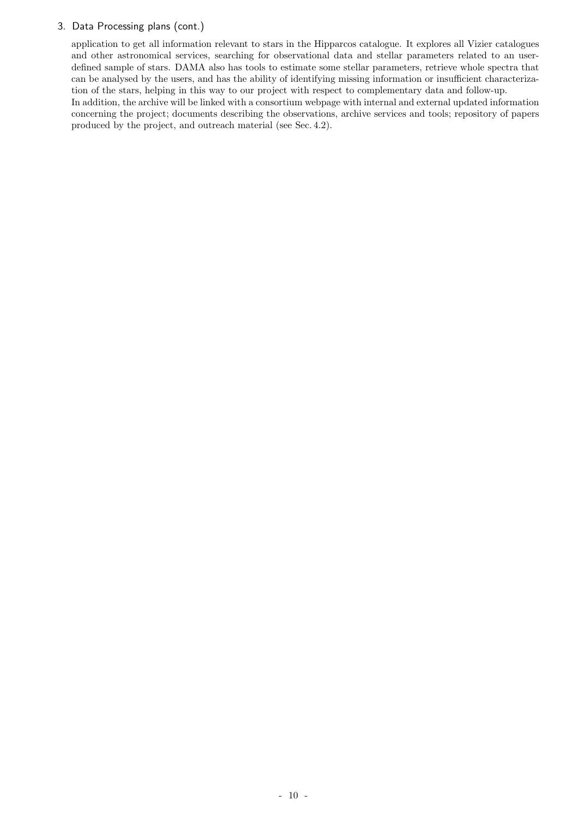## 3. Data Processing plans (cont.)

application to get all information relevant to stars in the Hipparcos catalogue. It explores all Vizier catalogues and other astronomical services, searching for observational data and stellar parameters related to an userdefined sample of stars. DAMA also has tools to estimate some stellar parameters, retrieve whole spectra that can be analysed by the users, and has the ability of identifying missing information or insufficient characterization of the stars, helping in this way to our project with respect to complementary data and follow-up.

In addition, the archive will be linked with a consortium webpage with internal and external updated information concerning the project; documents describing the observations, archive services and tools; repository of papers produced by the project, and outreach material (see Sec. 4.2).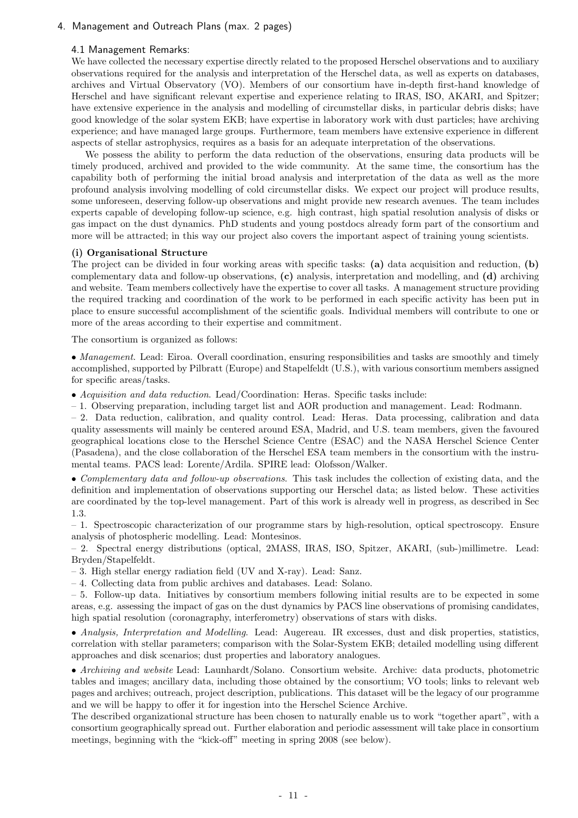## 4. Management and Outreach Plans (max. 2 pages)

## 4.1 Management Remarks:

We have collected the necessary expertise directly related to the proposed Herschel observations and to auxiliary observations required for the analysis and interpretation of the Herschel data, as well as experts on databases, archives and Virtual Observatory (VO). Members of our consortium have in-depth first-hand knowledge of Herschel and have significant relevant expertise and experience relating to IRAS, ISO, AKARI, and Spitzer; have extensive experience in the analysis and modelling of circumstellar disks, in particular debris disks; have good knowledge of the solar system EKB; have expertise in laboratory work with dust particles; have archiving experience; and have managed large groups. Furthermore, team members have extensive experience in different aspects of stellar astrophysics, requires as a basis for an adequate interpretation of the observations.

We possess the ability to perform the data reduction of the observations, ensuring data products will be timely produced, archived and provided to the wide community. At the same time, the consortium has the capability both of performing the initial broad analysis and interpretation of the data as well as the more profound analysis involving modelling of cold circumstellar disks. We expect our project will produce results, some unforeseen, deserving follow-up observations and might provide new research avenues. The team includes experts capable of developing follow-up science, e.g. high contrast, high spatial resolution analysis of disks or gas impact on the dust dynamics. PhD students and young postdocs already form part of the consortium and more will be attracted; in this way our project also covers the important aspect of training young scientists.

### (i) Organisational Structure

The project can be divided in four working areas with specific tasks: (a) data acquisition and reduction, (b) complementary data and follow-up observations, (c) analysis, interpretation and modelling, and (d) archiving and website. Team members collectively have the expertise to cover all tasks. A management structure providing the required tracking and coordination of the work to be performed in each specific activity has been put in place to ensure successful accomplishment of the scientific goals. Individual members will contribute to one or more of the areas according to their expertise and commitment.

The consortium is organized as follows:

• Management. Lead: Eiroa. Overall coordination, ensuring responsibilities and tasks are smoothly and timely accomplished, supported by Pilbratt (Europe) and Stapelfeldt (U.S.), with various consortium members assigned for specific areas/tasks.

• Acquisition and data reduction. Lead/Coordination: Heras. Specific tasks include:

– 1. Observing preparation, including target list and AOR production and management. Lead: Rodmann.

– 2. Data reduction, calibration, and quality control. Lead: Heras. Data processing, calibration and data quality assessments will mainly be centered around ESA, Madrid, and U.S. team members, given the favoured geographical locations close to the Herschel Science Centre (ESAC) and the NASA Herschel Science Center (Pasadena), and the close collaboration of the Herschel ESA team members in the consortium with the instrumental teams. PACS lead: Lorente/Ardila. SPIRE lead: Olofsson/Walker.

• Complementary data and follow-up observations. This task includes the collection of existing data, and the definition and implementation of observations supporting our Herschel data; as listed below. These activities are coordinated by the top-level management. Part of this work is already well in progress, as described in Sec 1.3.

– 1. Spectroscopic characterization of our programme stars by high-resolution, optical spectroscopy. Ensure analysis of photospheric modelling. Lead: Montesinos.

– 2. Spectral energy distributions (optical, 2MASS, IRAS, ISO, Spitzer, AKARI, (sub-)millimetre. Lead: Bryden/Stapelfeldt.

– 3. High stellar energy radiation field (UV and X-ray). Lead: Sanz.

– 4. Collecting data from public archives and databases. Lead: Solano.

– 5. Follow-up data. Initiatives by consortium members following initial results are to be expected in some areas, e.g. assessing the impact of gas on the dust dynamics by PACS line observations of promising candidates, high spatial resolution (coronagraphy, interferometry) observations of stars with disks.

• Analysis, Interpretation and Modelling. Lead: Augereau. IR excesses, dust and disk properties, statistics, correlation with stellar parameters; comparison with the Solar-System EKB; detailed modelling using different approaches and disk scenarios; dust properties and laboratory analogues.

• Archiving and website Lead: Launhardt/Solano. Consortium website. Archive: data products, photometric tables and images; ancillary data, including those obtained by the consortium; VO tools; links to relevant web pages and archives; outreach, project description, publications. This dataset will be the legacy of our programme and we will be happy to offer it for ingestion into the Herschel Science Archive.

The described organizational structure has been chosen to naturally enable us to work "together apart", with a consortium geographically spread out. Further elaboration and periodic assessment will take place in consortium meetings, beginning with the "kick-off" meeting in spring 2008 (see below).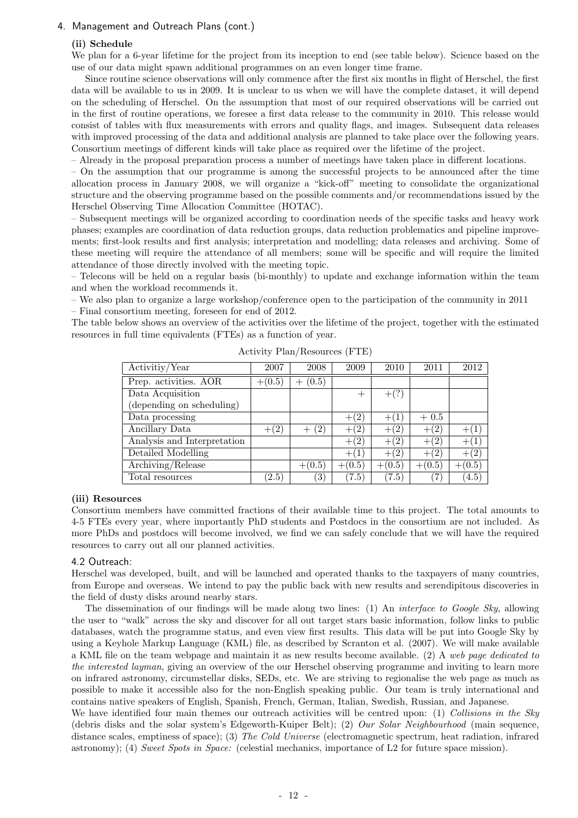## 4. Management and Outreach Plans (cont.)

### (ii) Schedule

We plan for a 6-year lifetime for the project from its inception to end (see table below). Science based on the use of our data might spawn additional programmes on an even longer time frame.

Since routine science observations will only commence after the first six months in flight of Herschel, the first data will be available to us in 2009. It is unclear to us when we will have the complete dataset, it will depend on the scheduling of Herschel. On the assumption that most of our required observations will be carried out in the first of routine operations, we foresee a first data release to the community in 2010. This release would consist of tables with flux measurements with errors and quality flags, and images. Subsequent data releases with improved processing of the data and additional analysis are planned to take place over the following years. Consortium meetings of different kinds will take place as required over the lifetime of the project.

– Already in the proposal preparation process a number of meetings have taken place in different locations.

– On the assumption that our programme is among the successful projects to be announced after the time allocation process in January 2008, we will organize a "kick-off" meeting to consolidate the organizational structure and the observing programme based on the possible comments and/or recommendations issued by the Herschel Observing Time Allocation Committee (HOTAC).

– Subsequent meetings will be organized according to coordination needs of the specific tasks and heavy work phases; examples are coordination of data reduction groups, data reduction problematics and pipeline improvements; first-look results and first analysis; interpretation and modelling; data releases and archiving. Some of these meeting will require the attendance of all members; some will be specific and will require the limited attendance of those directly involved with the meeting topic.

– Telecons will be held on a regular basis (bi-monthly) to update and exchange information within the team and when the workload recommends it.

– We also plan to organize a large workshop/conference open to the participation of the community in 2011 – Final consortium meeting, foreseen for end of 2012.

The table below shows an overview of the activities over the lifetime of the project, together with the estimated resources in full time equivalents (FTEs) as a function of year.

| Activitiy/Year              | 2007                | 2008             | 2009                        | 2010          | 2011               | 2012              |
|-----------------------------|---------------------|------------------|-----------------------------|---------------|--------------------|-------------------|
| Prep. activities. AOR       | $+(0.5)$            | (0.5)            |                             |               |                    |                   |
| Data Acquisition            |                     |                  | $^{+}$                      | $+(?)$        |                    |                   |
| (depending on scheduling)   |                     |                  |                             |               |                    |                   |
| Data processing             |                     |                  | (2)<br>$^{+}$               |               | $+0.5$             |                   |
| Ancillary Data              | (2)                 | (2)              | $^{\prime}2$ ,<br>$^+$      | (2)<br>$^+$   | $+(2)$             | $+(1)$            |
| Analysis and Interpretation |                     |                  | $\left( 2\right)$<br>$^{+}$ | (2)<br>$^{+}$ | (2)<br>$^{+}$      | $^{+}$            |
| Detailed Modelling          |                     |                  | (1)<br>$^{+}$               | (2)<br>$^{+}$ | $^{(2)}$<br>$^{+}$ | $\left( 2\right)$ |
| Archiving/Release           |                     | $+(0.5)$         | (0.5)<br>$^{+}$             | $+(0.5)$      | (0.5)<br>$^{+}$    | (0.5)<br>$^{+}$   |
| Total resources             | $\left( 2.5\right)$ | $\left(3\right)$ | (7.5)                       | (7.5)         | 7                  | (4.5)             |

Activity Plan/Resources (FTE)

### (iii) Resources

Consortium members have committed fractions of their available time to this project. The total amounts to 4-5 FTEs every year, where importantly PhD students and Postdocs in the consortium are not included. As more PhDs and postdocs will become involved, we find we can safely conclude that we will have the required resources to carry out all our planned activities.

### 4.2 Outreach:

Herschel was developed, built, and will be launched and operated thanks to the taxpayers of many countries, from Europe and overseas. We intend to pay the public back with new results and serendipitous discoveries in the field of dusty disks around nearby stars.

The dissemination of our findings will be made along two lines: (1) An *interface to Google Sky*, allowing the user to "walk" across the sky and discover for all out target stars basic information, follow links to public databases, watch the programme status, and even view first results. This data will be put into Google Sky by using a Keyhole Markup Language (KML) file, as described by Scranton et al. (2007). We will make available a KML file on the team webpage and maintain it as new results become available. (2) A web page dedicated to the interested layman, giving an overview of the our Herschel observing programme and inviting to learn more on infrared astronomy, circumstellar disks, SEDs, etc. We are striving to regionalise the web page as much as possible to make it accessible also for the non-English speaking public. Our team is truly international and contains native speakers of English, Spanish, French, German, Italian, Swedish, Russian, and Japanese. We have identified four main themes our outreach activities will be centred upon: (1) Collisions in the Sky

(debris disks and the solar system's Edgeworth-Kuiper Belt); (2) Our Solar Neighbourhood (main sequence, distance scales, emptiness of space); (3) The Cold Universe (electromagnetic spectrum, heat radiation, infrared astronomy); (4) Sweet Spots in Space: (celestial mechanics, importance of L2 for future space mission).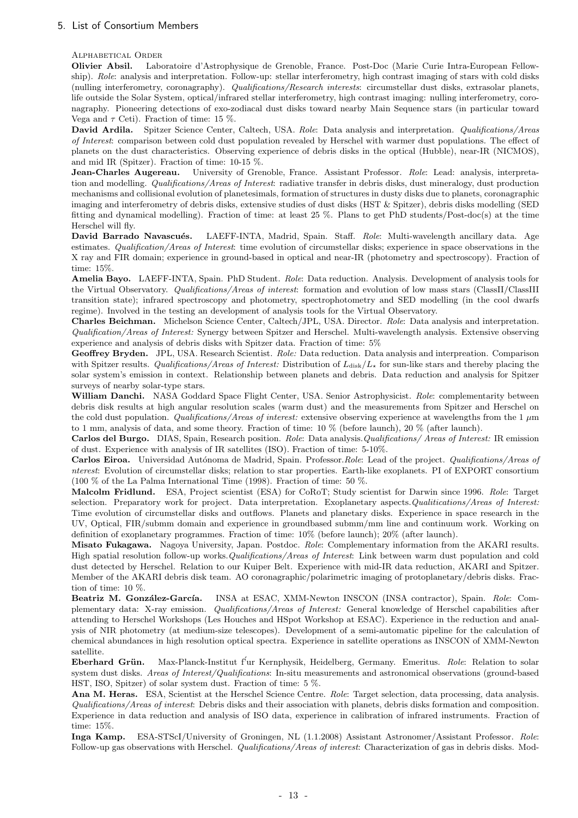## 5. List of Consortium Members

Alphabetical Order

Olivier Absil. Laboratoire d'Astrophysique de Grenoble, France. Post-Doc (Marie Curie Intra-European Fellowship). Role: analysis and interpretation. Follow-up: stellar interferometry, high contrast imaging of stars with cold disks (nulling interferometry, coronagraphy). Qualifications/Research interests: circumstellar dust disks, extrasolar planets, life outside the Solar System, optical/infrared stellar interferometry, high contrast imaging: nulling interferometry, coronagraphy. Pioneering detections of exo-zodiacal dust disks toward nearby Main Sequence stars (in particular toward Vega and  $\tau$  Ceti). Fraction of time: 15 %.

David Ardila. Spitzer Science Center, Caltech, USA. Role: Data analysis and interpretation. Qualifications/Areas of Interest: comparison between cold dust population revealed by Herschel with warmer dust populations. The effect of planets on the dust characteristics. Observing experience of debris disks in the optical (Hubble), near-IR (NICMOS), and mid IR (Spitzer). Fraction of time: 10-15 %.

Jean-Charles Augereau. University of Grenoble, France. Assistant Professor. Role: Lead: analysis, interpretation and modelling. Qualifications/Areas of Interest: radiative transfer in debris disks, dust mineralogy, dust production mechanisms and collisional evolution of planetesimals, formation of structures in dusty disks due to planets, coronagraphic imaging and interferometry of debris disks, extensive studies of dust disks (HST & Spitzer), debris disks modelling (SED fitting and dynamical modelling). Fraction of time: at least 25 %. Plans to get PhD students/Post-doc(s) at the time Herschel will fly.

David Barrado Navascués. LAEFF-INTA, Madrid, Spain. Staff. Role: Multi-wavelength ancillary data. Age estimates. Qualification/Areas of Interest: time evolution of circumstellar disks; experience in space observations in the X ray and FIR domain; experience in ground-based in optical and near-IR (photometry and spectroscopy). Fraction of time: 15%.

Amelia Bayo. LAEFF-INTA, Spain. PhD Student. Role: Data reduction. Analysis. Development of analysis tools for the Virtual Observatory. Qualifications/Areas of interest: formation and evolution of low mass stars (ClassII/ClassIII transition state); infrared spectroscopy and photometry, spectrophotometry and SED modelling (in the cool dwarfs regime). Involved in the testing an development of analysis tools for the Virtual Observatory.

Charles Beichman. Michelson Science Center, Caltech/JPL, USA. Director. Role: Data analysis and interpretation. Qualification/Areas of Interest: Synergy between Spitzer and Herschel. Multi-wavelength analysis. Extensive observing experience and analysis of debris disks with Spitzer data. Fraction of time: 5%

Geoffrey Bryden. JPL, USA. Research Scientist. Role: Data reduction. Data analysis and interpreation. Comparison with Spitzer results. Qualifications/Areas of Interest: Distribution of  $L_{disk}/L_{\star}$  for sun-like stars and thereby placing the solar system's emission in context. Relationship between planets and debris. Data reduction and analysis for Spitzer surveys of nearby solar-type stars.

William Danchi. NASA Goddard Space Flight Center, USA. Senior Astrophysicist. Role: complementarity between debris disk results at high angular resolution scales (warm dust) and the measurements from Spitzer and Herschel on the cold dust population. Qualifications/Areas of interest: extensive observing experience at wavelengths from the 1  $\mu$ m to 1 mm, analysis of data, and some theory. Fraction of time: 10 % (before launch), 20 % (after launch).

Carlos del Burgo. DIAS, Spain, Research position. Role: Data analysis.Qualifications/ Areas of Interest: IR emission of dust. Experience with analysis of IR satellites (ISO). Fraction of time: 5-10%.

Carlos Eiroa. Universidad Autónoma de Madrid, Spain. Professor.Role: Lead of the project. Qualifications/Areas of nterest: Evolution of circumstellar disks; relation to star properties. Earth-like exoplanets. PI of EXPORT consortium (100 % of the La Palma International Time (1998). Fraction of time: 50 %.

Malcolm Fridlund. ESA, Project scientist (ESA) for CoRoT; Study scientist for Darwin since 1996. Role: Target selection. Preparatory work for project. Data interpretation. Exoplanetary aspects.Qualitications/Areas of Interest: Time evolution of circumstellar disks and outflows. Planets and planetary disks. Experience in space research in the UV, Optical, FIR/submm domain and experience in groundbased submm/mm line and continuum work. Working on definition of exoplanetary programmes. Fraction of time: 10% (before launch); 20% (after launch).

Misato Fukagawa. Nagoya University, Japan. Postdoc. Role: Complementary information from the AKARI results. High spatial resolution follow-up works.Qualifications/Areas of Interest: Link between warm dust population and cold dust detected by Herschel. Relation to our Kuiper Belt. Experience with mid-IR data reduction, AKARI and Spitzer. Member of the AKARI debris disk team. AO coronagraphic/polarimetric imaging of protoplanetary/debris disks. Fraction of time: 10 %.

Beatriz M. González-García. INSA at ESAC, XMM-Newton INSCON (INSA contractor), Spain. Role: Complementary data: X-ray emission. Qualifications/Areas of Interest: General knowledge of Herschel capabilities after attending to Herschel Workshops (Les Houches and HSpot Workshop at ESAC). Experience in the reduction and analysis of NIR photometry (at medium-size telescopes). Development of a semi-automatic pipeline for the calculation of chemical abundances in high resolution optical spectra. Experience in satellite operations as INSCON of XMM-Newton satellite.

Eberhard Grün. Max-Planck-Institut f'ur Kernphysik, Heidelberg, Germany. Emeritus. Role: Relation to solar system dust disks. Areas of Interest/Qualifications: In-situ measurements and astronomical observations (ground-based HST, ISO, Spitzer) of solar system dust. Fraction of time: 5 %.

Ana M. Heras. ESA, Scientist at the Herschel Science Centre. Role: Target selection, data processing, data analysis. Qualifications/Areas of interest: Debris disks and their association with planets, debris disks formation and composition. Experience in data reduction and analysis of ISO data, experience in calibration of infrared instruments. Fraction of time: 15%.

Inga Kamp. ESA-STScI/University of Groningen, NL (1.1.2008) Assistant Astronomer/Assistant Professor. Role: Follow-up gas observations with Herschel. Qualifications/Areas of interest: Characterization of gas in debris disks. Mod-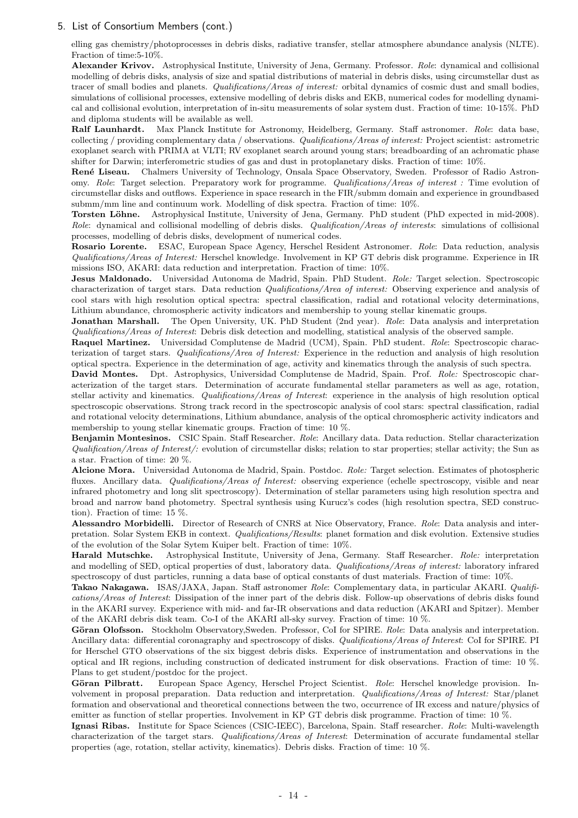## 5. List of Consortium Members (cont.)

elling gas chemistry/photoprocesses in debris disks, radiative transfer, stellar atmosphere abundance analysis (NLTE). Fraction of time:5-10%.

Alexander Krivov. Astrophysical Institute, University of Jena, Germany. Professor. Role: dynamical and collisional modelling of debris disks, analysis of size and spatial distributions of material in debris disks, using circumstellar dust as tracer of small bodies and planets. *Qualifications/Areas of interest:* orbital dynamics of cosmic dust and small bodies, simulations of collisional processes, extensive modelling of debris disks and EKB, numerical codes for modelling dynamical and collisional evolution, interpretation of in-situ measurements of solar system dust. Fraction of time: 10-15%. PhD and diploma students will be available as well.

Ralf Launhardt. Max Planck Institute for Astronomy, Heidelberg, Germany. Staff astronomer. Role: data base, collecting / providing complementary data / observations. Qualifications/Areas of interest: Project scientist: astrometric exoplanet search with PRIMA at VLTI; RV exoplanet search around young stars; breadboarding of an achromatic phase shifter for Darwin; interferometric studies of gas and dust in protoplanetary disks. Fraction of time: 10%.

René Liseau. Chalmers University of Technology, Onsala Space Observatory, Sweden. Professor of Radio Astronomy. Role: Target selection. Preparatory work for programme. Qualifications/Areas of interest : Time evolution of circumstellar disks and outflows. Experience in space research in the FIR/submm domain and experience in groundbased submm/mm line and continuum work. Modelling of disk spectra. Fraction of time: 10%.

Torsten Löhne. Astrophysical Institute, University of Jena, Germany. PhD student (PhD expected in mid-2008). Role: dynamical and collisional modelling of debris disks. Qualification/Areas of interests: simulations of collisional processes, modelling of debris disks, development of numerical codes.

Rosario Lorente. ESAC, European Space Agency, Herschel Resident Astronomer. Role: Data reduction, analysis Qualifications/Areas of Interest: Herschel knowledge. Involvement in KP GT debris disk programme. Experience in IR missions ISO, AKARI: data reduction and interpretation. Fraction of time: 10%.

Jesus Maldonado. Universidad Autonoma de Madrid, Spain. PhD Student. Role: Target selection. Spectroscopic characterization of target stars. Data reduction Qualifications/Area of interest: Observing experience and analysis of cool stars with high resolution optical spectra: spectral classification, radial and rotational velocity determinations, Lithium abundance, chromospheric activity indicators and membership to young stellar kinematic groups.

Jonathan Marshall. The Open University, UK. PhD Student (2nd year). Role: Data analysis and interpretation Qualifications/Areas of Interest: Debris disk detection and modelling, statistical analysis of the observed sample.

Raquel Martinez. Universidad Complutense de Madrid (UCM), Spain. PhD student. Role: Spectroscopic characterization of target stars. Qualifications/Area of Interest: Experience in the reduction and analysis of high resolution optical spectra. Experience in the determination of age, activity and kinematics through the analysis of such spectra.

David Montes. Dpt. Astrophysics, Universidad Complutense de Madrid, Spain. Prof. Role: Spectroscopic characterization of the target stars. Determination of accurate fundamental stellar parameters as well as age, rotation, stellar activity and kinematics. Qualifications/Areas of Interest: experience in the analysis of high resolution optical spectroscopic observations. Strong track record in the spectroscopic analysis of cool stars: spectral classification, radial and rotational velocity determinations, Lithium abundance, analysis of the optical chromospheric activity indicators and membership to young stellar kinematic groups. Fraction of time: 10 %.

Benjamin Montesinos. CSIC Spain. Staff Researcher. Role: Ancillary data. Data reduction. Stellar characterization  $Qualification/Areas of Interest/$ : evolution of circumstellar disks; relation to star properties; stellar activity; the Sun as a star. Fraction of time: 20 %.

Alcione Mora. Universidad Autonoma de Madrid, Spain. Postdoc. Role: Target selection. Estimates of photospheric fluxes. Ancillary data. Qualifications/Areas of Interest: observing experience (echelle spectroscopy, visible and near infrared photometry and long slit spectroscopy). Determination of stellar parameters using high resolution spectra and broad and narrow band photometry. Spectral synthesis using Kurucz's codes (high resolution spectra, SED construction). Fraction of time: 15 %.

Alessandro Morbidelli. Director of Research of CNRS at Nice Observatory, France. Role: Data analysis and interpretation. Solar System EKB in context. Qualifications/Results: planet formation and disk evolution. Extensive studies of the evolution of the Solar Sytem Kuiper belt. Fraction of time: 10%.

Harald Mutschke. Astrophysical Institute, University of Jena, Germany. Staff Researcher. Role: interpretation and modelling of SED, optical properties of dust, laboratory data. Qualifications/Areas of interest: laboratory infrared spectroscopy of dust particles, running a data base of optical constants of dust materials. Fraction of time: 10%.

Takao Nakagawa. ISAS/JAXA, Japan. Staff astronomer Role: Complementary data, in particular AKARI. Qualifications/Areas of Interest: Dissipation of the inner part of the debris disk. Follow-up observations of debris disks found in the AKARI survey. Experience with mid- and far-IR observations and data reduction (AKARI and Spitzer). Member of the AKARI debris disk team. Co-I of the AKARI all-sky survey. Fraction of time: 10 %.

Göran Olofsson. Stockholm Observatory,Sweden. Professor, CoI for SPIRE. Role: Data analysis and interpretation. Ancillary data: differential coronagraphy and spectroscopy of disks. Qualifications/Areas of Interest: CoI for SPIRE. PI for Herschel GTO observations of the six biggest debris disks. Experience of instrumentation and observations in the optical and IR regions, including construction of dedicated instrument for disk observations. Fraction of time: 10 %. Plans to get student/postdoc for the project.

Göran Pilbratt. European Space Agency, Herschel Project Scientist. Role: Herschel knowledge provision. Involvement in proposal preparation. Data reduction and interpretation. Qualifications/Areas of Interest: Star/planet formation and observational and theoretical connections between the two, occurrence of IR excess and nature/physics of emitter as function of stellar properties. Involvement in KP GT debris disk programme. Fraction of time: 10 %.

Ignasi Ribas. Institute for Space Sciences (CSIC-IEEC), Barcelona, Spain. Staff researcher. Role: Multi-wavelength characterization of the target stars. Qualifications/Areas of Interest: Determination of accurate fundamental stellar properties (age, rotation, stellar activity, kinematics). Debris disks. Fraction of time: 10 %.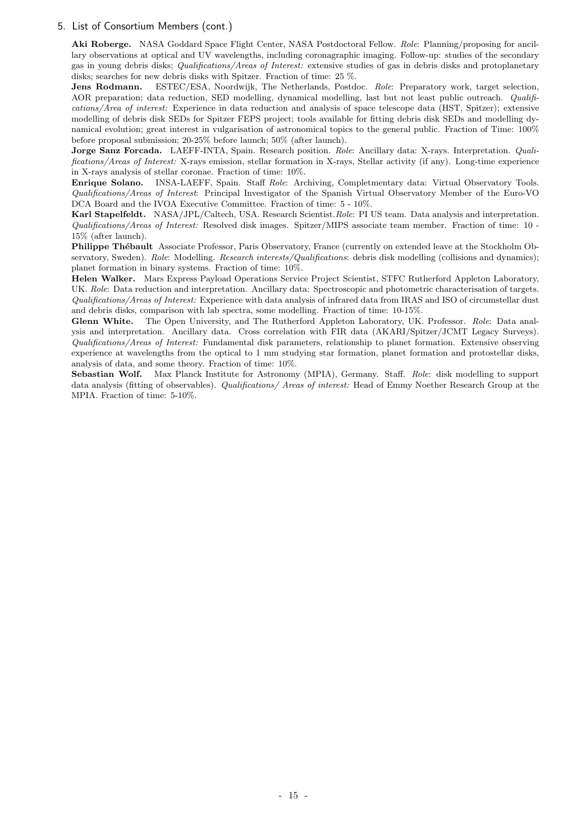## 5. List of Consortium Members (cont.)

Aki Roberge. NASA Goddard Space Flight Center, NASA Postdoctoral Fellow. Role: Planning/proposing for ancillary observations at optical and UV wavelengths, including coronagraphic imaging. Follow-up: studies of the secondary gas in young debris disks; Qualifications/Areas of Interest: extensive studies of gas in debris disks and protoplanetary disks; searches for new debris disks with Spitzer. Fraction of time: 25 %.

Jens Rodmann. ESTEC/ESA, Noordwijk, The Netherlands, Postdoc. Role: Preparatory work, target selection, AOR preparation; data reduction, SED modelling, dynamical modelling, last but not least public outreach. Qualifications/Area of interest: Experience in data reduction and analysis of space telescope data (HST, Spitzer); extensive modelling of debris disk SEDs for Spitzer FEPS project; tools available for fitting debris disk SEDs and modelling dynamical evolution; great interest in vulgarisation of astronomical topics to the general public. Fraction of Time: 100% before proposal submission; 20-25% before launch; 50% (after launch).

Jorge Sanz Forcada. LAEFF-INTA, Spain. Research position. Role: Ancillary data: X-rays. Interpretation. Qualifications/Areas of Interest: X-rays emission, stellar formation in X-rays, Stellar activity (if any). Long-time experience in X-rays analysis of stellar coronae. Fraction of time: 10%.

Enrique Solano. INSA-LAEFF, Spain. Staff Role: Archiving, Completmentary data: Virtual Observatory Tools. Qualifications/Areas of Interest: Principal Investigator of the Spanish Virtual Observatory Member of the Euro-VO DCA Board and the IVOA Executive Committee. Fraction of time: 5 - 10%.

Karl Stapelfeldt. NASA/JPL/Caltech, USA. Research Scientist.Role: PI US team. Data analysis and interpretation. Qualifications/Areas of Interest: Resolved disk images. Spitzer/MIPS associate team member. Fraction of time: 10 - 15% (after launch).

Philippe Thébault Associate Professor, Paris Observatory, France (currently on extended leave at the Stockholm Observatory, Sweden). Role: Modelling. Research interests/Qualifications: debris disk modelling (collisions and dynamics); planet formation in binary systems. Fraction of time: 10%.

Helen Walker. Mars Express Payload Operations Service Project Scientist, STFC Rutherford Appleton Laboratory, UK. Role: Data reduction and interpretation. Ancillary data: Spectroscopic and photometric characterisation of targets. Qualifications/Areas of Interest: Experience with data analysis of infrared data from IRAS and ISO of circumstellar dust and debris disks, comparison with lab spectra, some modelling. Fraction of time: 10-15%.

Glenn White. The Open University, and The Rutherford Appleton Laboratory, UK. Professor. Role: Data analysis and interpretation. Ancillary data. Cross correlation with FIR data (AKARI/Spitzer/JCMT Legacy Surveys). Qualifications/Areas of Interest: Fundamental disk parameters, relationship to planet formation. Extensive observing experience at wavelengths from the optical to 1 mm studying star formation, planet formation and protostellar disks, analysis of data, and some theory. Fraction of time: 10%.

Sebastian Wolf. Max Planck Institute for Astronomy (MPIA), Germany. Staff. Role: disk modelling to support data analysis (fitting of observables). Qualifications/ Areas of interest: Head of Emmy Noether Research Group at the MPIA. Fraction of time: 5-10%.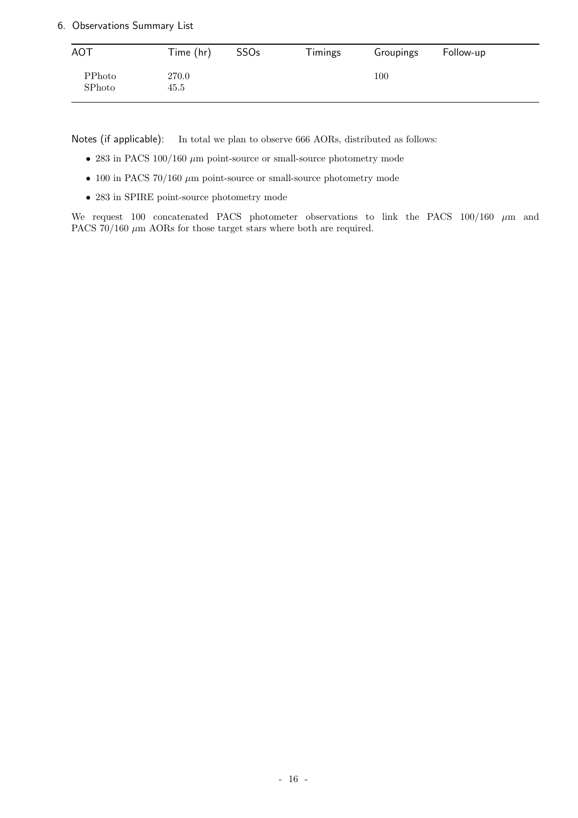## 6. Observations Summary List

| <b>AOT</b>       | Time (hr)     | <b>SSOs</b> | Timings | Groupings | Follow-up |
|------------------|---------------|-------------|---------|-----------|-----------|
| PPhoto<br>SPhoto | 270.0<br>45.5 |             |         | $100\,$   |           |

Notes (if applicable): In total we plan to observe 666 AORs, distributed as follows:

- 283 in PACS 100/160  $\mu$ m point-source or small-source photometry mode
- 100 in PACS 70/160  $\mu$ m point-source or small-source photometry mode
- 283 in SPIRE point-source photometry mode

We request 100 concatenated PACS photometer observations to link the PACS  $100/160 \mu m$  and PACS  $70/160 \mu m$  AORs for those target stars where both are required.